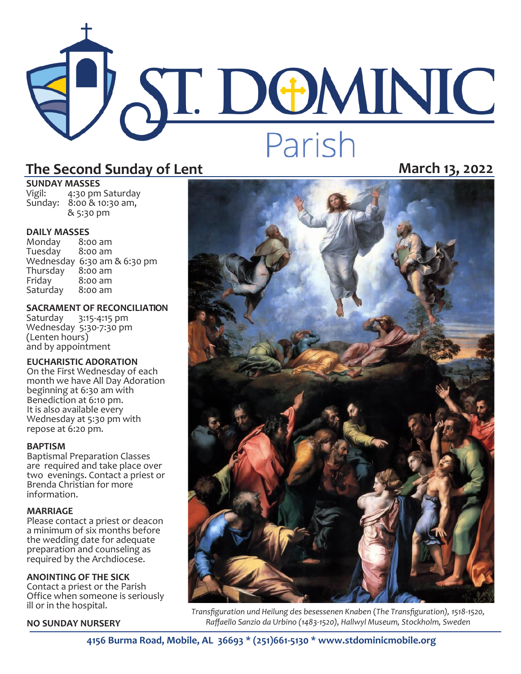# **ST. DEMINIC** Parish

# **The Second Sunday of Lent March 13, 2022**

**SUNDAY MASSES**<br>Vigil: 4:30 pm

4:30 pm Saturday Sunday: 8:00 & 10:30 am, & 5:30 pm

**DAILY MASSES**  Monday 8:00 am Tuesday Wednesday 6:30 am & 6:30 pm Thursday<br>Friday  $8:00$  am<br> $8:00$  am Saturday

### **SACRAMENT OF RECONCILIATION**

Saturday 3:15-4:15 pm Wednesday 5:30-7:30 pm (Lenten hours) and by appointment

### **EUCHARISTIC ADORATION**

On the First Wednesday of each month we have All Day Adoration beginning at 6:30 am with Benediction at 6:10 pm. It is also available every Wednesday at 5:30 pm with repose at 6:20 pm.

### **BAPTISM**

Baptismal Preparation Classes are required and take place over two evenings. Contact a priest or Brenda Christian for more information.

### **MARRIAGE**

Please contact a priest or deacon a minimum of six months before the wedding date for adequate preparation and counseling as required by the Archdiocese.

### **ANOINTING OF THE SICK**

Contact a priest or the Parish Office when someone is seriously ill or in the hospital.

**NO SUNDAY NURSERY**



*Transfiguration und Heilung des besessenen Knaben* (*The Transfiguration), 1518-1520, Raffaello Sanzio da Urbino (1483-1520), Hallwyl Museum, Stockholm, Sweden* 

**4156 Burma Road, Mobile, AL 36693 \* (251)661-5130 \* www.stdominicmobile.org**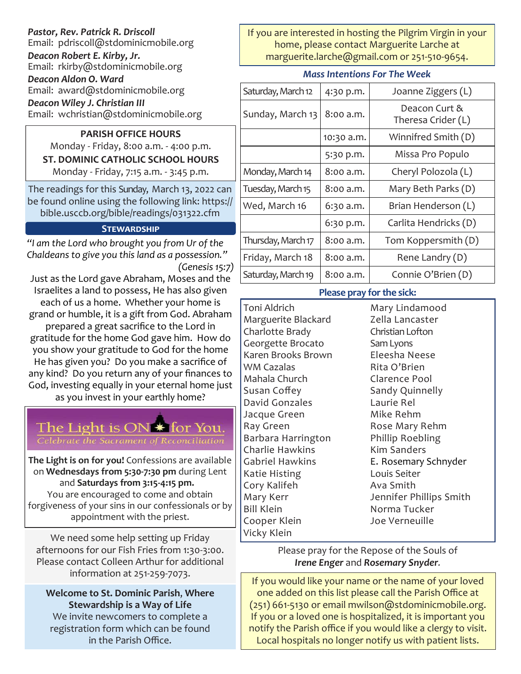| Pastor, Rev. Patrick R. Driscoll<br>Email: pdriscoll@stdominicmobile.org |  |
|--------------------------------------------------------------------------|--|
| Deacon Robert E. Kirby, Jr.<br>Email: rkirby@stdominicmobile.org         |  |
| Deacon Aldon O. Ward                                                     |  |
| Email: award@stdominicmobile.org<br>Deacon Wiley J. Christian III        |  |

Email: wchristian@stdominicmobile.org

## **PARISH OFFICE HOURS**

Monday - Friday, 8:00 a.m. - 4:00 p.m. **ST. DOMINIC CATHOLIC SCHOOL HOURS**  Monday - Friday, 7:15 a.m. - 3:45 p.m.

The readings for this Sunday, March 13, 2022 can be found online using the following link: https:// bible.usccb.org/bible/readings/031322.cfm

### **Stewardship**

*"I am the Lord who brought you from Ur of the Chaldeans to give you this land as a possession." (Genesis 15:7)*

Just as the Lord gave Abraham, Moses and the Israelites a land to possess, He has also given each of us a home. Whether your home is grand or humble, it is a gift from God. Abraham prepared a great sacrifice to the Lord in gratitude for the home God gave him. How do you show your gratitude to God for the home He has given you? Do you make a sacrifice of any kind? Do you return any of your finances to God, investing equally in your eternal home just as you invest in your earthly home?



**The Light is on for you!** Confessions are available on **Wednesdays from 5:30-7:30 pm** during Lent and **Saturdays from 3:15-4:15 pm.** You are encouraged to come and obtain forgiveness of your sins in our confessionals or by appointment with the priest.

We need some help setting up Friday afternoons for our Fish Fries from 1:30-3:00. Please contact Colleen Arthur for additional information at 251-259-7073.

**Welcome to St. Dominic Parish**, **Where Stewardship is a Way of Life**  We invite newcomers to complete a registration form which can be found in the Parish Office.

If you are interested in hosting the Pilgrim Virgin in your home, please contact Marguerite Larche at marguerite.larche@gmail.com or 251-510-9654.

### *Mass Intentions For The Week*

| Saturday, March 12 | 4:30 p.m.  | Joanne Ziggers (L)    |
|--------------------|------------|-----------------------|
| Sunday, March 13   | 8:00 a.m.  | Deacon Curt &         |
|                    |            | Theresa Crider (L)    |
|                    | 10:30 a.m. | Winnifred Smith (D)   |
|                    | 5:30 p.m.  | Missa Pro Populo      |
| Monday, March 14   | 8:00 a.m.  | Cheryl Polozola (L)   |
| Tuesday, March 15  | 8:00 a.m.  | Mary Beth Parks (D)   |
| Wed, March 16      | 6:30 a.m.  | Brian Henderson (L)   |
|                    | 6:30 p.m.  | Carlita Hendricks (D) |
| Thursday, March 17 | 8:00 a.m.  | Tom Koppersmith (D)   |
| Friday, March 18   | 8:00 a.m.  | Rene Landry (D)       |
| Saturday, March 19 | 8:00 a.m.  | Connie O'Brien (D)    |

### **Please pray for the sick:**

Toni Aldrich Marguerite Blackard Charlotte Brady Georgette Brocato Karen Brooks Brown WM Cazalas Mahala Church Susan Coffey David Gonzales Jacque Green Ray Green Barbara Harrington Charlie Hawkins Gabriel Hawkins Katie Histing Cory Kalifeh Mary Kerr Bill Klein Cooper Klein Vicky Klein

Mary Lindamood Zella Lancaster Christian Lofton Sam Lyons Eleesha Neese Rita O'Brien Clarence Pool Sandy Quinnelly Laurie Rel Mike Rehm Rose Mary Rehm Phillip Roebling Kim Sanders E. Rosemary Schnyder Louis Seiter Ava Smith Jennifer Phillips Smith Norma Tucker Joe Verneuille

Please pray for the Repose of the Souls of *Irene Enger* and *Rosemary Snyder.* 

If you would like your name or the name of your loved one added on this list please call the Parish Office at (251) 661-5130 or email mwilson@stdominicmobile.org. If you or a loved one is hospitalized, it is important you notify the Parish office if you would like a clergy to visit. Local hospitals no longer notify us with patient lists.